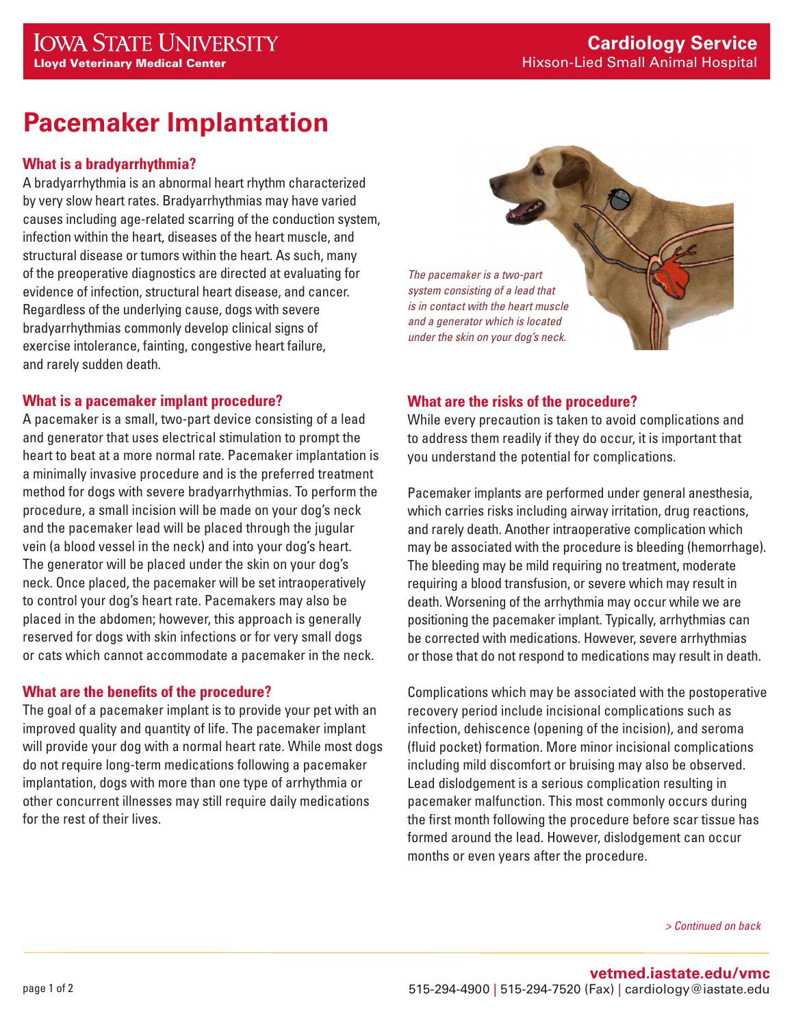# **Pacemaker Implantation**

## **What is a bradyarrhythmia?**

A bradyarrhythmia is an abnormal heart rhythm characterized by very slow heart rates. Bradyarrhythmias may have varied causes including age-related scarring of the conduction system, infection within the heart, diseases of the heart muscle, and structural disease or tumors within the heart. As such, many of the preoperative diagnostics are directed at evaluating for evidence of infection, structural heart disease, and cancer. Regardless of the underlying cause, dogs with severe bradyarrhythmias commonly develop clinical signs of exercise intolerance, fainting, congestive heart failure, and rarely sudden death.

#### **What is a pacemaker implant procedure?**

A pacemaker is a small, two-part device consisting of a lead and generator that uses electrical stimulation to prompt the heart to beat at a more normal rate. Pacemaker implantation is a minimally invasive procedure and is the preferred treatment method for dogs with severe bradyarrhythmias. To perform the procedure, a small incision will be made on your dog's neck and the pacemaker lead will be placed through the jugular vein (a blood vessel in the neck) and into your dog's heart. The generator will be placed under the skin on your dog's neck. Once placed, the pacemaker will be set intraoperatively to control your dog's heart rate. Pacemakers may also be placed in the abdomen; however, this approach is generally reserved for dogs with skin infections or for very small dogs or cats which cannot accommodate a pacemaker in the neck.

## **What are the benefits of the procedure?**

The goal of a pacemaker implant is to provide your pet with an improved quality and quantity of life. The pacemaker implant will provide your dog with a normal heart rate. While most dogs do not require long-term medications following a pacemaker implantation, dogs with more than one type of arrhythmia or other concurrent illnesses may still require daily medications for the rest of their lives.

*The pacemaker is a two-part system consisting of a lead that is in contact with the heart muscle and a generator which is located under the skin on your dog's neck.*

# **What are the risks of the procedure?**

While every precaution is taken to avoid complications and to address them readily if they do occur, it is important that you understand the potential for complications.

Pacemaker implants are performed under general anesthesia, which carries risks including airway irritation, drug reactions, and rarely death. Another intraoperative complication which may be associated with the procedure is bleeding (hemorrhage). The bleeding may be mild requiring no treatment, moderate requiring a blood transfusion, or severe which may result in death. Worsening of the arrhythmia may occur while we are positioning the pacemaker implant. Typically, arrhythmias can be corrected with medications. However, severe arrhythmias or those that do not respond to medications may result in death.

Complications which may be associated with the postoperative recovery period include incisional complications such as infection, dehiscence (opening of the incision), and seroma (fluid pocket) formation. More minor incisional complications including mild discomfort or bruising may also be observed. Lead dislodgement is a serious complication resulting in pacemaker malfunction. This most commonly occurs during the first month following the procedure before scar tissue has formed around the lead. However, dislodgement can occur months or even years after the procedure.

*> Continued on back*